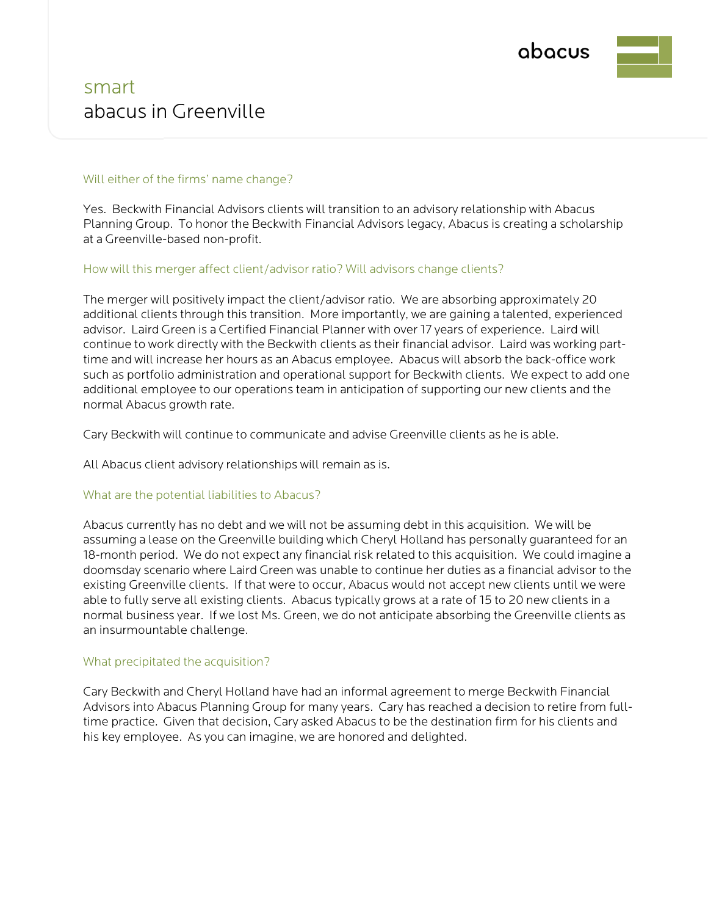

# smart abacus in Greenville

### Will either of the firms' name change?

Yes. Beckwith Financial Advisors clients will transition to an advisory relationship with Abacus Planning Group. To honor the Beckwith Financial Advisors legacy, Abacus is creating a scholarship at a Greenville-based non-profit.

#### How will this merger affect client/advisor ratio? Will advisors change clients?

The merger will positively impact the client/advisor ratio. We are absorbing approximately 20 additional clients through this transition. More importantly, we are gaining a talented, experienced advisor. Laird Green is a Certified Financial Planner with over 17 years of experience. Laird will continue to work directly with the Beckwith clients as their financial advisor. Laird was working parttime and will increase her hours as an Abacus employee. Abacus will absorb the back-office work such as portfolio administration and operational support for Beckwith clients. We expect to add one additional employee to our operations team in anticipation of supporting our new clients and the normal Abacus growth rate.

Cary Beckwith will continue to communicate and advise Greenville clients as he is able.

All Abacus client advisory relationships will remain as is.

### What are the potential liabilities to Abacus?

Abacus currently has no debt and we will not be assuming debt in this acquisition. We will be assuming a lease on the Greenville building which Cheryl Holland has personally guaranteed for an 18-month period. We do not expect any financial risk related to this acquisition. We could imagine a doomsday scenario where Laird Green was unable to continue her duties as a financial advisor to the existing Greenville clients. If that were to occur, Abacus would not accept new clients until we were able to fully serve all existing clients. Abacus typically grows at a rate of 15 to 20 new clients in a normal business year. If we lost Ms. Green, we do not anticipate absorbing the Greenville clients as an insurmountable challenge.

### What precipitated the acquisition?

Cary Beckwith and Cheryl Holland have had an informal agreement to merge Beckwith Financial Advisors into Abacus Planning Group for many years. Cary has reached a decision to retire from fulltime practice. Given that decision, Cary asked Abacus to be the destination firm for his clients and his key employee. As you can imagine, we are honored and delighted.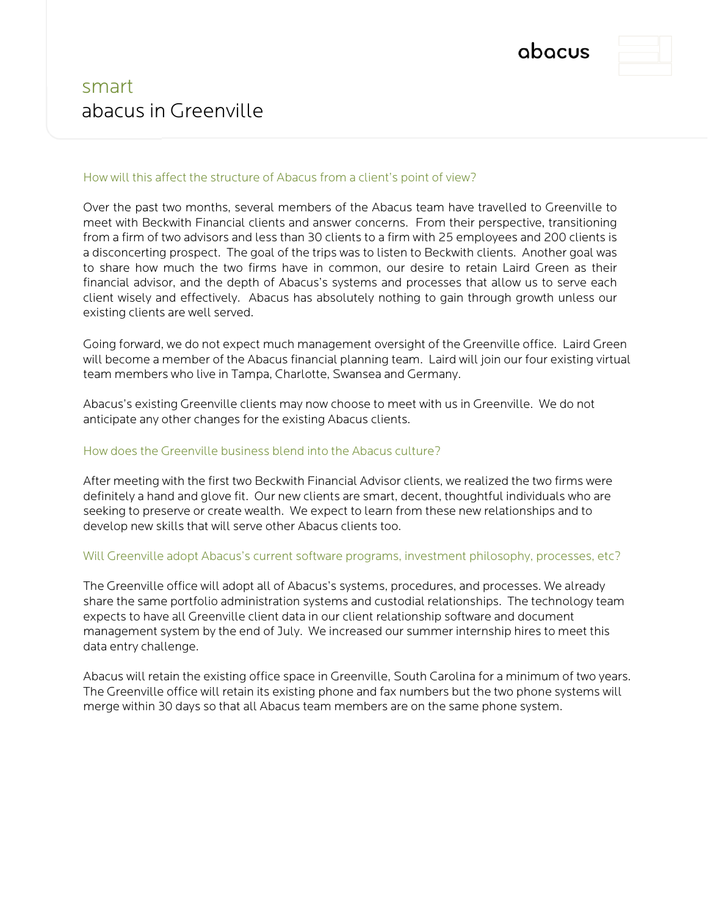



# smart abacus in Greenville

## How will this affect the structure of Abacus from a client's point of view?

Over the past two months, several members of the Abacus team have travelled to Greenville to meet with Beckwith Financial clients and answer concerns. From their perspective, transitioning from a firm of two advisors and less than 30 clients to a firm with 25 employees and 200 clients is a disconcerting prospect. The goal of the trips was to listen to Beckwith clients. Another goal was to share how much the two firms have in common, our desire to retain Laird Green as their financial advisor, and the depth of Abacus's systems and processes that allow us to serve each client wisely and effectively. Abacus has absolutely nothing to gain through growth unless our existing clients are well served.

Going forward, we do not expect much management oversight of the Greenville office. Laird Green will become a member of the Abacus financial planning team. Laird will join our four existing virtual team members who live in Tampa, Charlotte, Swansea and Germany.

Abacus's existing Greenville clients may now choose to meet with us in Greenville. We do not anticipate any other changes for the existing Abacus clients.

# How does the Greenville business blend into the Abacus culture?

After meeting with the first two Beckwith Financial Advisor clients, we realized the two firms were definitely a hand and glove fit. Our new clients are smart, decent, thoughtful individuals who are seeking to preserve or create wealth. We expect to learn from these new relationships and to develop new skills that will serve other Abacus clients too.

### Will Greenville adopt Abacus's current software programs, investment philosophy, processes, etc?

The Greenville office will adopt all of Abacus's systems, procedures, and processes. We already share the same portfolio administration systems and custodial relationships. The technology team expects to have all Greenville client data in our client relationship software and document management system by the end of July. We increased our summer internship hires to meet this data entry challenge.

Abacus will retain the existing office space in Greenville, South Carolina for a minimum of two years. The Greenville office will retain its existing phone and fax numbers but the two phone systems will merge within 30 days so that all Abacus team members are on the same phone system.